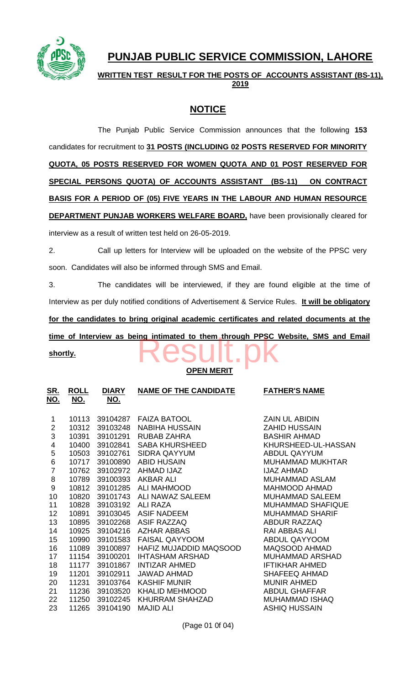

# **PUNJAB PUBLIC SERVICE COMMISSION, LAHORE**

**WRITTEN TEST RESULT FOR THE POSTS OF ACCOUNTS ASSISTANT (BS-11), 2019**

## **NOTICE**

The Punjab Public Service Commission announces that the following **153** candidates for recruitment to **31 POSTS (INCLUDING 02 POSTS RESERVED FOR MINORITY QUOTA, 05 POSTS RESERVED FOR WOMEN QUOTA AND 01 POST RESERVED FOR SPECIAL PERSONS QUOTA) OF ACCOUNTS ASSISTANT (BS-11) ON CONTRACT BASIS FOR A PERIOD OF (05) FIVE YEARS IN THE LABOUR AND HUMAN RESOURCE DEPARTMENT PUNJAB WORKERS WELFARE BOARD,** have been provisionally cleared for interview as a result of written test held on 26-05-2019.

2. Call up letters for Interview will be uploaded on the website of the PPSC very soon. Candidates will also be informed through SMS and Email.

3. The candidates will be interviewed, if they are found eligible at the time of Interview as per duly notified conditions of Advertisement & Service Rules. **It will be obligatory for the candidates to bring original academic certificates and related documents at the**  time of Interview as being intimated to them through PPSC Website, SMS and Email<br>shortly.

**shortly.**

## **OPEN MERIT**

| <u>SR.</u><br><u>NO.</u> | <b>ROLL</b><br><u>NO.</u> | <b>DIARY</b><br><u>NO.</u> | <b>NAME OF THE CANDIDATE</b> | <b>FATHER'S NAME</b>     |
|--------------------------|---------------------------|----------------------------|------------------------------|--------------------------|
| 1                        | 10113                     | 39104287                   | <b>FAIZA BATOOL</b>          | <b>ZAIN UL ABIDIN</b>    |
| $\overline{2}$           | 10312                     | 39103248                   | <b>NABIHA HUSSAIN</b>        | <b>ZAHID HUSSAIN</b>     |
| 3                        | 10391                     | 39101291                   | RUBAB ZAHRA                  | <b>BASHIR AHMAD</b>      |
| 4                        | 10400                     | 39102841                   | <b>SABA KHURSHEED</b>        | KHURSHEED-UL-HASSAN      |
| 5                        | 10503                     | 39102761                   | <b>SIDRA QAYYUM</b>          | <b>ABDUL QAYYUM</b>      |
| 6                        | 10717                     | 39100890                   | <b>ABID HUSAIN</b>           | <b>MUHAMMAD MUKHTAR</b>  |
| $\overline{7}$           | 10762                     | 39102972                   | AHMAD IJAZ                   | <b>IJAZ AHMAD</b>        |
| 8                        | 10789                     | 39100393                   | <b>AKBAR ALI</b>             | <b>MUHAMMAD ASLAM</b>    |
| 9                        | 10812                     | 39101285                   | <b>ALI MAHMOOD</b>           | <b>MAHMOOD AHMAD</b>     |
| 10                       | 10820                     | 39101743                   | ALI NAWAZ SALEEM             | <b>MUHAMMAD SALEEM</b>   |
| 11                       | 10828                     | 39103192                   | <b>ALI RAZA</b>              | <b>MUHAMMAD SHAFIQUE</b> |
| 12                       | 10891                     | 39103045                   | <b>ASIF NADEEM</b>           | <b>MUHAMMAD SHARIF</b>   |
| 13                       | 10895                     | 39102268                   | <b>ASIF RAZZAQ</b>           | <b>ABDUR RAZZAQ</b>      |
| 14                       | 10925                     | 39104216                   | <b>AZHAR ABBAS</b>           | <b>RAI ABBAS ALI</b>     |
| 15                       | 10990                     | 39101583                   | <b>FAISAL QAYYOOM</b>        | ABDUL QAYYOOM            |
| 16                       | 11089                     | 39100897                   | HAFIZ MUJADDID MAQSOOD       | MAQSOOD AHMAD            |
| 17                       | 11154                     | 39100201                   | <b>IHTASHAM ARSHAD</b>       | <b>MUHAMMAD ARSHAD</b>   |
| 18                       | 11177                     | 39101867                   | <b>INTIZAR AHMED</b>         | <b>IFTIKHAR AHMED</b>    |
| 19                       | 11201                     | 39102911                   | JAWAD AHMAD                  | <b>SHAFEEQ AHMAD</b>     |
| 20                       | 11231                     | 39103764                   | <b>KASHIF MUNIR</b>          | <b>MUNIR AHMED</b>       |
| 21                       | 11236                     | 39103520                   | <b>KHALID MEHMOOD</b>        | <b>ABDUL GHAFFAR</b>     |
| 22                       | 11250                     | 39102245                   | KHURRAM SHAHZAD              | <b>MUHAMMAD ISHAQ</b>    |
| 23                       | 11265                     | 39104190                   | <b>MAJID ALI</b>             | <b>ASHIQ HUSSAIN</b>     |

(Page 01 0f 04)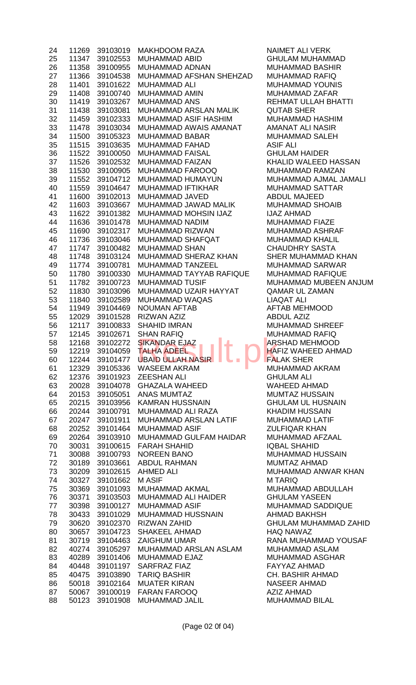| 24 | 11269 | 39103019 | <b>MAKHDOOM RAZA</b>                  | <b>NAI</b>      |
|----|-------|----------|---------------------------------------|-----------------|
| 25 | 11347 | 39102553 | <b>MUHAMMAD ABID</b>                  | <b>GH</b>       |
| 26 | 11358 | 39100955 | <b>MUHAMMAD ADNAN</b>                 | <b>MU</b>       |
| 27 | 11366 | 39104538 | MUHAMMAD AFSHAN SHEHZAD               | <b>MU</b>       |
| 28 | 11401 | 39101622 | <b>MUHAMMAD ALI</b>                   | <b>MU</b>       |
| 29 | 11408 | 39100740 | <b>MUHAMMAD AMIN</b>                  | <b>MU</b>       |
| 30 | 11419 | 39103267 | <b>MUHAMMAD ANS</b>                   | <b>REI</b>      |
| 31 | 11438 | 39103081 | MUHAMMAD ARSLAN MALIK                 | QU              |
| 32 | 11459 | 39102333 | MUHAMMAD ASIF HASHIM                  | <b>MU</b>       |
|    | 11478 | 39103034 | MUHAMMAD AWAIS AMANAT                 | AM.             |
| 33 |       |          | <b>MUHAMMAD BABAR</b>                 | <b>MU</b>       |
| 34 | 11500 | 39105323 |                                       |                 |
| 35 | 11515 | 39103635 | <b>MUHAMMAD FAHAD</b>                 | <b>ASI</b>      |
| 36 | 11522 | 39100050 | <b>MUHAMMAD FAISAL</b>                | GH              |
| 37 | 11526 | 39102532 | MUHAMMAD FAIZAN                       | KH/             |
| 38 | 11530 | 39100905 | <b>MUHAMMAD FAROOQ</b>                | MU              |
| 39 | 11552 | 39104712 | MUHAMMAD HUMAYUN                      | <b>MU</b>       |
| 40 | 11559 | 39104647 | <b>MUHAMMAD IFTIKHAR</b>              | <b>MU</b>       |
| 41 | 11600 | 39102013 | MUHAMMAD JAVED                        | <b>ABI</b>      |
| 42 | 11603 | 39103667 | MUHAMMAD JAWAD MALIK                  | <b>MU</b>       |
| 43 | 11622 | 39101382 | <b>MUHAMMAD MOHSIN IJAZ</b>           | IJA.            |
| 44 | 11636 | 39101478 | <b>MUHAMMAD NADIM</b>                 | <b>MU</b>       |
| 45 | 11690 | 39102317 | MUHAMMAD RIZWAN                       | <b>MU</b>       |
| 46 | 11736 | 39103046 | <b>MUHAMMAD SHAFQAT</b>               | <b>MU</b>       |
| 47 | 11747 | 39100482 | <b>MUHAMMAD SHAN</b>                  | CH              |
| 48 | 11748 | 39103124 | MUHAMMAD SHERAZ KHAN                  | <b>SHI</b>      |
| 49 | 11774 | 39100781 | MUHAMMAD TANZEEL                      | <b>MU</b>       |
| 50 | 11780 | 39100330 | MUHAMMAD TAYYAB RAFIQUE               | <b>MU</b>       |
| 51 | 11782 | 39100723 | <b>MUHAMMAD TUSIF</b>                 | <b>MU</b>       |
| 52 | 11830 | 39103096 | MUHAMMAD UZAIR HAYYAT                 | QAI             |
| 53 | 11840 | 39102589 | MUHAMMAD WAQAS                        | <b>LIA</b>      |
| 54 | 11949 | 39104469 | <b>NOUMAN AFTAB</b>                   | AF <sub>1</sub> |
|    | 12029 | 39101528 | <b>RIZWAN AZIZ</b>                    | <b>ABI</b>      |
| 55 |       |          | <b>SHAHID IMRAN</b>                   |                 |
| 56 | 12117 | 39100833 |                                       | MU              |
| 57 | 12145 | 39102671 | <b>SHAN RAFIQ</b>                     | MU              |
| 58 | 12168 | 39102272 | <b>SIKANDAR EJAZ</b>                  | AR <sup>®</sup> |
| 59 | 12219 |          | 39104059 TALHA ADEEL                  | HAI             |
|    |       |          |                                       |                 |
| 60 | 12244 | 39101477 | UBAID ULLAH NASIR                     | FAL             |
| 61 | 12329 | 39105336 | <b>WASEEM AKRAM</b>                   | MU              |
| 62 | 12376 | 39101923 | <b>ZEESHAN ALI</b>                    | GH              |
| 63 | 20028 | 39104078 | <b>GHAZALA WAHEED</b>                 | <b>WA</b>       |
| 64 | 20153 | 39105051 | <b>ANAS MUMTAZ</b>                    | <b>MU</b>       |
| 65 | 20215 | 39103956 | <b>KAMRAN HUSSNAIN</b>                | GH              |
| 66 | 20244 | 39100791 | MUHAMMAD ALI RAZA                     | KH/             |
| 67 | 20247 | 39101911 | MUHAMMAD ARSLAN LATIF                 | MU              |
| 68 | 20252 | 39101464 | <b>MUHAMMAD ASIF</b>                  | ZUL             |
| 69 | 20264 | 39103910 | MUHAMMAD GULFAM HAIDAR                | <b>MU</b>       |
|    |       | 39100615 | <b>FARAH SHAHID</b>                   |                 |
| 70 | 30031 |          |                                       | <b>IQB</b>      |
| 71 | 30088 | 39100793 | <b>NOREEN BANO</b>                    | <b>MU</b>       |
| 72 | 30189 | 39103661 | <b>ABDUL RAHMAN</b>                   | MU              |
| 73 | 30209 | 39102615 | <b>AHMED ALI</b>                      | <b>MU</b>       |
| 74 | 30327 | 39101662 | <b>MASIF</b>                          | M T             |
| 75 | 30369 | 39101093 | MUHAMMAD AKMAL                        | <b>MU</b>       |
| 76 | 30371 | 39103503 | MUHAMMAD ALI HAIDER                   | <b>GH</b>       |
| 77 | 30398 | 39100127 | <b>MUHAMMAD ASIF</b>                  | <b>MU</b>       |
| 78 | 30433 | 39101029 | <b>MUHAMMAD HUSSNAIN</b>              | AHI             |
| 79 | 30620 | 39102370 | <b>RIZWAN ZAHID</b>                   | GH              |
| 80 | 30657 | 39104723 | <b>SHAKEEL AHMAD</b>                  | HA <sup>(</sup> |
| 81 | 30719 | 39104463 | <b>ZAIGHUM UMAR</b>                   | RAI             |
| 82 | 40274 | 39105297 | MUHAMMAD ARSLAN ASLAM                 | <b>MU</b>       |
| 83 | 40289 | 39101406 | MUHAMMAD EJAZ                         | <b>MU</b>       |
| 84 | 40448 | 39101197 | <b>SARFRAZ FIAZ</b>                   | <b>FA</b>       |
| 85 | 40475 | 39103890 | <b>TARIQ BASHIR</b>                   | CH.             |
| 86 | 50018 | 39102164 | <b>MUATER KIRAN</b>                   | NAS             |
| 87 | 50067 | 39100019 | <b>FARAN FAROOQ</b><br>MUHAMMAD JALIL | <b>AZI</b>      |

**NAIMET ALI VERK** GHULAM MUHAMMAD MUHAMMAD BASHIR MUHAMMAD RAFIQ **MUHAMMAD YOUNIS** MUHAMMAD ZAFAR REHMAT ULLAH BHATTI QUTAB SHER MUHAMMAD HASHIM AMANAT ALI NASIR MUHAMMAD SALEH **ASIF ALI GHULAM HAIDER** KHALID WALEED HASSAN MUHAMMAD RAMZAN MUHAMMAD AJMAL JAMALI MUHAMMAD SATTAR ABDUL MAJEED MUHAMMAD SHOAIB **IJAZ AHMAD** MUHAMMAD FIAZE MUHAMMAD ASHRAF MUHAMMAD KHALIL **CHAUDHRY SASTA** SHER MUHAMMAD KHAN MUHAMMAD SARWAR MUHAMMAD RAFIQUE MUHAMMAD MUBEEN ANJUM QAMAR UL ZAMAN LIAQAT ALI AFTAB MEHMOOD ABDUL AZIZ MUHAMMAD SHREEF MUHAMMAD RAFIQ **ARSHAD MEHMOOD HAFIZ WAHEED AHMAD FALAK SHER** MUHAMMAD AKRAM **GHULAM ALI** WAHEED AHMAD MUMTAZ HUSSAIN **GHULAM UL HUSNAIN** KHADIM HUSSAIN MUHAMMAD LATIF **ZULFIQAR KHAN** MUHAMMAD AFZAAL **IQBAL SHAHID** MUHAMMAD HUSSAIN MUMTAZ AHMAD MUHAMMAD ANWAR KHAN **M TARIQ** MUHAMMAD ABDULLAH **GHULAM YASEEN** MUHAMMAD SADDIQUE AHMAD BAKHSH 79 30620 39102370 RIZWAN ZAHID GHULAM MUHAMMAD ZAHID HAQ NAWAZ RANA MUHAMMAD YOUSAF MUHAMMAD ASLAM MUHAMMAD ASGHAR FAYYAZ AHMAD CH. BASHIR AHMAD NASEER AHMAD AZIZ AHMAD **MUHAMMAD BILAL**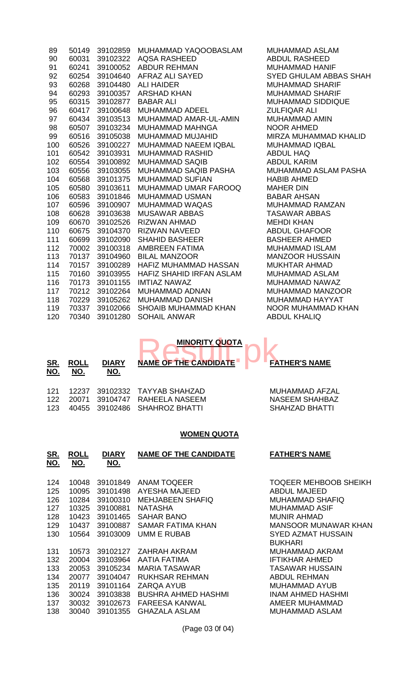| 89  | 50149 | 39102859 | MUHAMMAD YAQOOBASLAM            |
|-----|-------|----------|---------------------------------|
| 90  | 60031 | 39102322 | <b>AQSA RASHEED</b>             |
| 91  | 60241 | 39100052 | <b>ABDUR REHMAN</b>             |
| 92  | 60254 | 39104640 | AFRAZ ALI SAYED                 |
| 93  | 60268 | 39104480 | <b>ALI HAIDER</b>               |
| 94  | 60293 | 39100357 | <b>ARSHAD KHAN</b>              |
| 95  | 60315 | 39102877 | <b>BABAR ALI</b>                |
| 96  | 60417 | 39100648 | MUHAMMAD ADEEL                  |
| 97  | 60434 | 39103513 | MUHAMMAD AMAR-UL-AMIN           |
| 98  | 60507 | 39103234 | <b>MUHAMMAD MAHNGA</b>          |
| 99  | 60516 | 39105038 | <b>MUHAMMAD MUJAHID</b>         |
| 100 | 60526 | 39100227 | <b>MUHAMMAD NAEEM IQBAL</b>     |
| 101 | 60542 | 39103931 | <b>MUHAMMAD RASHID</b>          |
| 102 | 60554 | 39100892 | <b>MUHAMMAD SAQIB</b>           |
| 103 | 60556 | 39103055 | <b>MUHAMMAD SAQIB PASHA</b>     |
| 104 | 60568 | 39101375 | <b>MUHAMMAD SUFIAN</b>          |
| 105 | 60580 | 39103611 | <b>MUHAMMAD UMAR FAROOQ</b>     |
| 106 | 60583 | 39101846 | <b>MUHAMMAD USMAN</b>           |
| 107 | 60596 | 39100907 | <b>MUHAMMAD WAQAS</b>           |
| 108 | 60628 | 39103638 | <b>MUSAWAR ABBAS</b>            |
| 109 | 60670 | 39102526 | <b>RIZWAN AHMAD</b>             |
| 110 | 60675 | 39104370 | <b>RIZWAN NAVEED</b>            |
| 111 | 60699 | 39102090 | <b>SHAHID BASHEER</b>           |
| 112 | 70002 | 39100318 | AMBREEN FATIMA                  |
| 113 | 70137 | 39104960 | <b>BILAL MANZOOR</b>            |
| 114 | 70157 | 39100289 | HAFIZ MUHAMMAD HASSAN           |
| 115 | 70160 | 39103955 | <b>HAFIZ SHAHID IRFAN ASLAM</b> |
| 116 | 70173 | 39101155 | <b>IMTIAZ NAWAZ</b>             |
| 117 | 70212 | 39102264 | <b>MUHAMMAD ADNAN</b>           |
| 118 | 70229 | 39105262 | <b>MUHAMMAD DANISH</b>          |
| 119 | 70337 | 39102066 | <b>SHOAIB MUHAMMAD KHAN</b>     |
| 120 | 70340 | 39101280 | <b>SOHAIL ANWAR</b>             |
|     |       |          |                                 |

MUHAMMAD ASLAM ABDUL RASHEED MUHAMMAD HANIF SYED GHULAM ABBAS SHAH MUHAMMAD SHARIF MUHAMMAD SHARIF MUHAMMAD SIDDIQUE ZULFIQAR ALI MUHAMMAD AMIN NOOR AHMED MIRZA MUHAMMAD KHALID MUHAMMAD IQBAL ABDUL HAQ ABDUL KARIM MUHAMMAD ASLAM PASHA HABIB AHMED **MAHER DIN** BABAR AHSAN MUHAMMAD RAMZAN TASAWAR ABBAS **MEHDI KHAN** ABDUL GHAFOOR BASHEER AHMED MUHAMMAD ISLAM MANZOOR HUSSAIN MUKHTAR AHMAD MUHAMMAD ASLAM MUHAMMAD NAWAZ MUHAMMAD MANZOOR MUHAMMAD HAYYAT NOOR MUHAMMAD KHAN ABDUL KHALIQ



| <u>SR.</u> | <b>ROLL</b> | <b>DIARY</b> | <b>MINORITY QUOTA</b>        | <b>FATHER'S NAME</b>  |
|------------|-------------|--------------|------------------------------|-----------------------|
| NO.        | NO.         | NO.          | <b>NAME OF THE CANDIDATE</b> |                       |
| 121        | 12237       |              | 39102332 TAYYAB SHAHZAD      | MUHAMMAD AFZAL        |
| 122        | 20071       |              | 39104747 RAHEELA NASEEM      | <b>NASEEM SHAHBAZ</b> |
| 123        | 40455       |              | 39102486 SHAHROZ BHATTI      | SHAHZAD BHATTI        |

#### **WOMEN QUOTA**

| <u>SR.</u><br>NO.                                    | <b>ROLL</b><br>NO.                                                   | <b>DIARY</b><br><u>NO.</u>                                                                   | <b>NAME OF THE CANDIDATE</b>                                                                                                                                        | <b>FATHER'S NAME</b>                                                                                                                                                                               |
|------------------------------------------------------|----------------------------------------------------------------------|----------------------------------------------------------------------------------------------|---------------------------------------------------------------------------------------------------------------------------------------------------------------------|----------------------------------------------------------------------------------------------------------------------------------------------------------------------------------------------------|
| 124<br>125<br>126<br>127<br>128<br>129<br>130        | 10048<br>10095<br>10284<br>10325<br>10423<br>10437<br>10564          | 39101849<br>39101498<br>39100310<br>39100881<br>39101465<br>39100887<br>39103009             | <b>ANAM TOQEER</b><br>AYESHA MAJEED<br><b>MEHJABEEN SHAFIQ</b><br><b>NATASHA</b><br><b>SAHAR BANO</b><br>SAMAR FATIMA KHAN<br><b>UMM E RUBAB</b>                    | <b>TOQEER MEHBOOB SHEIKH</b><br><b>ABDUL MAJEED</b><br><b>MUHAMMAD SHAFIQ</b><br>MUHAMMAD ASIF<br><b>MUNIR AHMAD</b><br><b>MANSOOR MUNAWAR KHAN</b><br><b>SYED AZMAT HUSSAIN</b><br><b>BUKHARI</b> |
| 131<br>132<br>133<br>134<br>135<br>136<br>137<br>138 | 10573<br>20004<br>20053<br>20077<br>20119<br>30024<br>30032<br>30040 | 39102127<br>39103964<br>39105234<br>39104047<br>39101164<br>39103838<br>39102673<br>39101355 | ZAHRAH AKRAM<br>AATIA FATIMA<br>MARIA TASAWAR<br><b>RUKHSAR REHMAN</b><br>ZARQA AYUB<br><b>BUSHRA AHMED HASHMI</b><br><b>FAREESA KANWAL</b><br><b>GHAZALA ASLAM</b> | MUHAMMAD AKRAM<br><b>IFTIKHAR AHMED</b><br><b>TASAWAR HUSSAIN</b><br>ABDUL REHMAN<br>MUHAMMAD AYUB<br><b>INAM AHMED HASHMI</b><br>AMEER MUHAMMAD<br>MUHAMMAD ASLAM                                 |

(Page 03 0f 04)